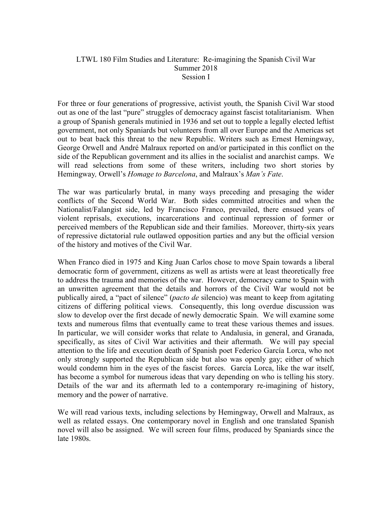# LTWL 180 Film Studies and Literature: Re-imagining the Spanish Civil War Summer 2018 Session I

For three or four generations of progressive, activist youth, the Spanish Civil War stood out as one of the last "pure" struggles of democracy against fascist totalitarianism. When a group of Spanish generals mutinied in 1936 and set out to topple a legally elected leftist government, not only Spaniards but volunteers from all over Europe and the Americas set out to beat back this threat to the new Republic. Writers such as Ernest Hemingway, George Orwell and André Malraux reported on and/or participated in this conflict on the side of the Republican government and its allies in the socialist and anarchist camps. We will read selections from some of these writers, including two short stories by Hemingway*,* Orwell's *Homage to Barcelona*, and Malraux's *Man's Fate*.

The war was particularly brutal, in many ways preceding and presaging the wider conflicts of the Second World War. Both sides committed atrocities and when the Nationalist/Falangist side, led by Francisco Franco, prevailed, there ensued years of violent reprisals, executions, incarcerations and continual repression of former or perceived members of the Republican side and their families. Moreover, thirty-six years of repressive dictatorial rule outlawed opposition parties and any but the official version of the history and motives of the Civil War.

When Franco died in 1975 and King Juan Carlos chose to move Spain towards a liberal democratic form of government, citizens as well as artists were at least theoretically free to address the trauma and memories of the war. However, democracy came to Spain with an unwritten agreement that the details and horrors of the Civil War would not be publically aired, a "pact of silence" (*pacto de* silencio) was meant to keep from agitating citizens of differing political views. Consequently, this long overdue discussion was slow to develop over the first decade of newly democratic Spain. We will examine some texts and numerous films that eventually came to treat these various themes and issues. In particular, we will consider works that relate to Andalusia, in general, and Granada, specifically, as sites of Civil War activities and their aftermath. We will pay special attention to the life and execution death of Spanish poet Federico García Lorca, who not only strongly supported the Republican side but also was openly gay; either of which would condemn him in the eyes of the fascist forces. García Lorca, like the war itself, has become a symbol for numerous ideas that vary depending on who is telling his story. Details of the war and its aftermath led to a contemporary re-imagining of history, memory and the power of narrative.

We will read various texts, including selections by Hemingway, Orwell and Malraux, as well as related essays. One contemporary novel in English and one translated Spanish novel will also be assigned. We will screen four films, produced by Spaniards since the late 1980s.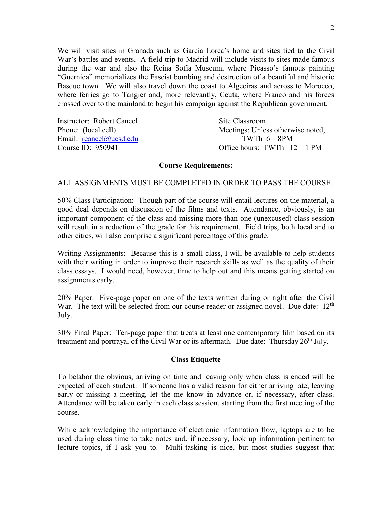We will visit sites in Granada such as García Lorca's home and sites tied to the Civil War's battles and events. A field trip to Madrid will include visits to sites made famous during the war and also the Reina Sofia Museum, where Picasso's famous painting "Guernica" memorializes the Fascist bombing and destruction of a beautiful and historic Basque town. We will also travel down the coast to Algeciras and across to Morocco, where ferries go to Tangier and, more relevantly, Ceuta, where Franco and his forces crossed over to the mainland to begin his campaign against the Republican government.

| Instructor: Robert Cancel | Site Classroom                    |
|---------------------------|-----------------------------------|
| Phone: (local cell)       | Meetings: Unless otherwise noted, |
| Email: reancel@ucsd.edu   | TWTh $6-8PM$                      |
| Course ID: 950941         | Office hours: TWTh $12-1$ PM      |

## **Course Requirements:**

## ALL ASSIGNMENTS MUST BE COMPLETED IN ORDER TO PASS THE COURSE.

50% Class Participation: Though part of the course will entail lectures on the material, a good deal depends on discussion of the films and texts. Attendance, obviously, is an important component of the class and missing more than one (unexcused) class session will result in a reduction of the grade for this requirement. Field trips, both local and to other cities, will also comprise a significant percentage of this grade.

Writing Assignments: Because this is a small class, I will be available to help students with their writing in order to improve their research skills as well as the quality of their class essays. I would need, however, time to help out and this means getting started on assignments early.

20% Paper: Five-page paper on one of the texts written during or right after the Civil War. The text will be selected from our course reader or assigned novel. Due date:  $12<sup>th</sup>$ July.

30% Final Paper: Ten-page paper that treats at least one contemporary film based on its treatment and portrayal of the Civil War or its aftermath. Due date: Thursday  $26<sup>th</sup>$  July.

#### **Class Etiquette**

To belabor the obvious, arriving on time and leaving only when class is ended will be expected of each student. If someone has a valid reason for either arriving late, leaving early or missing a meeting, let the me know in advance or, if necessary, after class. Attendance will be taken early in each class session, starting from the first meeting of the course.

While acknowledging the importance of electronic information flow, laptops are to be used during class time to take notes and, if necessary, look up information pertinent to lecture topics, if I ask you to. Multi-tasking is nice, but most studies suggest that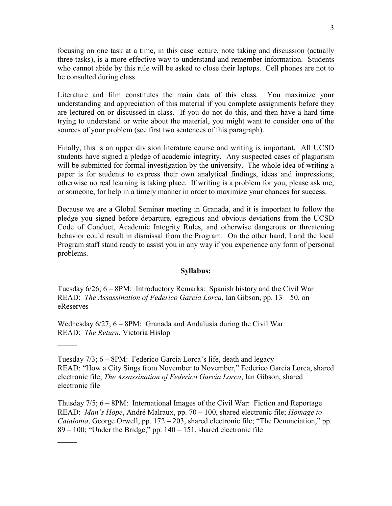focusing on one task at a time, in this case lecture, note taking and discussion (actually three tasks), is a more effective way to understand and remember information. Students who cannot abide by this rule will be asked to close their laptops. Cell phones are not to be consulted during class.

Literature and film constitutes the main data of this class. You maximize your understanding and appreciation of this material if you complete assignments before they are lectured on or discussed in class. If you do not do this, and then have a hard time trying to understand or write about the material, you might want to consider one of the sources of your problem (see first two sentences of this paragraph).

Finally, this is an upper division literature course and writing is important. All UCSD students have signed a pledge of academic integrity. Any suspected cases of plagiarism will be submitted for formal investigation by the university. The whole idea of writing a paper is for students to express their own analytical findings, ideas and impressions; otherwise no real learning is taking place. If writing is a problem for you, please ask me, or someone, for help in a timely manner in order to maximize your chances for success.

Because we are a Global Seminar meeting in Granada, and it is important to follow the pledge you signed before departure, egregious and obvious deviations from the UCSD Code of Conduct, Academic Integrity Rules, and otherwise dangerous or threatening behavior could result in dismissal from the Program. On the other hand, I and the local Program staff stand ready to assist you in any way if you experience any form of personal problems.

#### **Syllabus:**

Tuesday 6/26; 6 – 8PM: Introductory Remarks: Spanish history and the Civil War READ: *The Assassination of Federico García Lorca*, Ian Gibson, pp. 13 – 50, on eReserves

Wednesday 6/27; 6 – 8PM: Granada and Andalusia during the Civil War READ: *The Return*, Victoria Hislop

 $\mathcal{L}$ 

 $\frac{1}{2}$ 

Tuesday 7/3; 6 – 8PM: Federico García Lorca's life, death and legacy READ: "How a City Sings from November to November," Federico García Lorca, shared electronic file; *The Assassination of Federico García Lorca*, Ian Gibson, shared electronic file

Thusday 7/5; 6 – 8PM: International Images of the Civil War: Fiction and Reportage READ: *Man's Hope*, André Malraux, pp. 70 – 100, shared electronic file; *Homage to Catalonia*, George Orwell, pp. 172 – 203, shared electronic file; "The Denunciation," pp.  $89 - 100$ ; "Under the Bridge," pp.  $140 - 151$ , shared electronic file